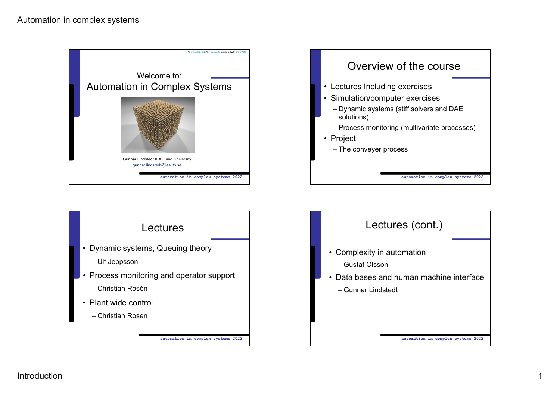## Automation in complex systems







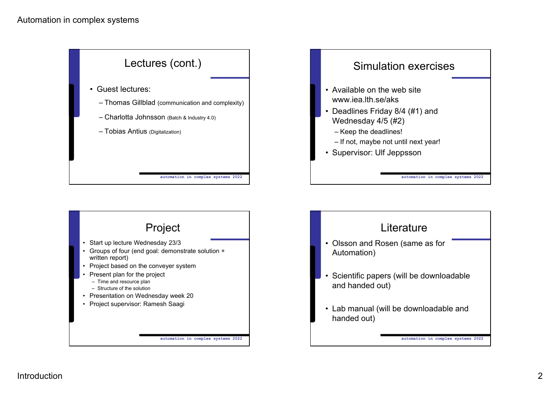





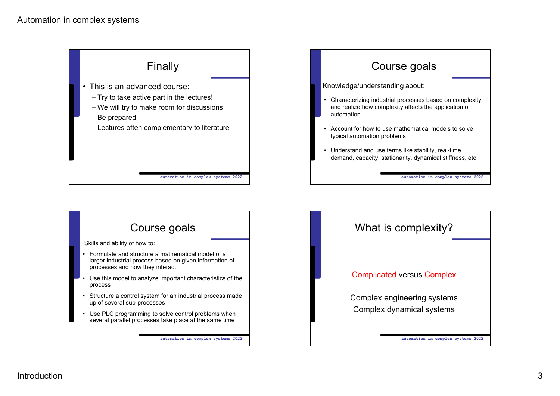



## **automation in complex systems 2022** Course goals • Formulate and structure a mathematical model of a larger industrial process based on given information of processes and how they interact • Use this model to analyze important characteristics of the process • Structure a control system for an industrial process made up of several sub-processes • Use PLC programming to solve control problems when several parallel processes take place at the same time Skills and ability of how to: